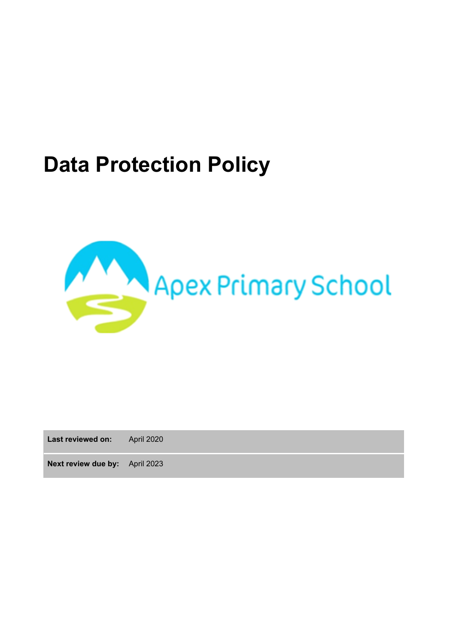# **Data Protection Policy**



**Last reviewed on:** April 2020

**Next review due by:** April 2023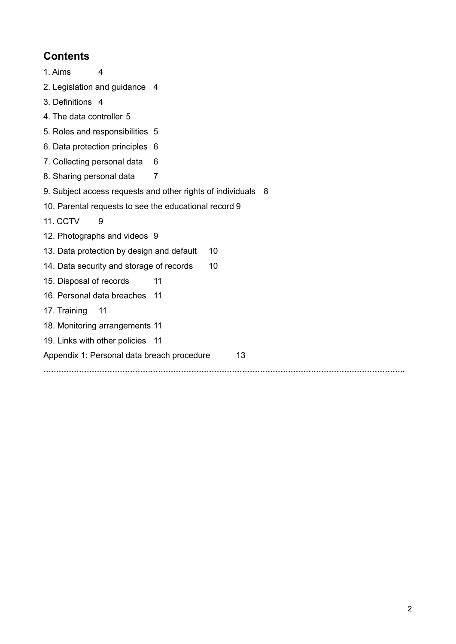# **Contents**

<span id="page-1-0"></span>

| 1. Aims<br>4                                                 |  |                |  |  |  |  |
|--------------------------------------------------------------|--|----------------|--|--|--|--|
| 2. Legislation and guidance 4                                |  |                |  |  |  |  |
| 3. Definitions 4                                             |  |                |  |  |  |  |
| 4. The data controller 5                                     |  |                |  |  |  |  |
| 5. Roles and responsibilities 5                              |  |                |  |  |  |  |
| 6. Data protection principles 6                              |  |                |  |  |  |  |
| 7. Collecting personal data                                  |  | 6              |  |  |  |  |
| 8. Sharing personal data                                     |  | $\overline{7}$ |  |  |  |  |
| 9. Subject access requests and other rights of individuals 8 |  |                |  |  |  |  |
| 10. Parental requests to see the educational record 9        |  |                |  |  |  |  |
| 11. CCTV<br>9                                                |  |                |  |  |  |  |
| 12. Photographs and videos 9                                 |  |                |  |  |  |  |
| 13. Data protection by design and default<br>10              |  |                |  |  |  |  |
| 14. Data security and storage of records<br>10               |  |                |  |  |  |  |
| 15. Disposal of records                                      |  | 11             |  |  |  |  |
| 16. Personal data breaches 11                                |  |                |  |  |  |  |
| 17. Training<br>11                                           |  |                |  |  |  |  |
| 18. Monitoring arrangements 11                               |  |                |  |  |  |  |
| 19. Links with other policies 11                             |  |                |  |  |  |  |
| Appendix 1: Personal data breach procedure<br>13             |  |                |  |  |  |  |
|                                                              |  |                |  |  |  |  |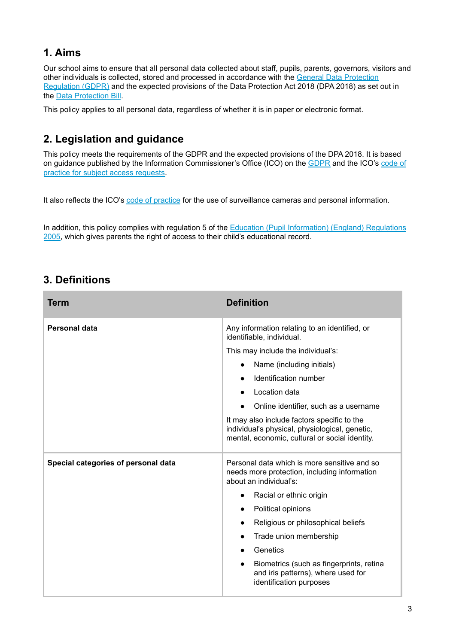# **1. Aims**

Our school aims to ensure that all personal data collected about staff, pupils, parents, governors, visitors and other individuals is collected, stored and processed in accordance with the General Data [Protection](http://data.consilium.europa.eu/doc/document/ST-5419-2016-INIT/en/pdf) [Regulation](http://data.consilium.europa.eu/doc/document/ST-5419-2016-INIT/en/pdf) (GDPR) and the expected provisions of the Data Protection Act 2018 (DPA 2018) as set out in the Data [Protection](https://publications.parliament.uk/pa/bills/cbill/2017-2019/0153/18153.pdf) Bill.

This policy applies to all personal data, regardless of whether it is in paper or electronic format.

# **2. Legislation and guidance**

This policy meets the requirements of the GDPR and the expected provisions of the DPA 2018. It is based on guidance published by the Information Commissioner's Office (ICO) on the [GDPR](https://ico.org.uk/for-organisations/guide-to-the-general-data-protection-regulation-gdpr/) and the ICO's [code](https://ico.org.uk/media/for-organisations/documents/2014223/subject-access-code-of-practice.pdf) of practice for subject access [requests.](https://ico.org.uk/media/for-organisations/documents/2014223/subject-access-code-of-practice.pdf)

It also reflects the ICO's code of [practice](https://ico.org.uk/media/for-organisations/documents/1542/cctv-code-of-practice.pdf) for the use of surveillance cameras and personal information.

<span id="page-2-0"></span>In addition, this policy complies with regulation 5 of the Education (Pupil [Information\)](http://www.legislation.gov.uk/uksi/2005/1437/regulation/5/made) (England) Regulations [2005,](http://www.legislation.gov.uk/uksi/2005/1437/regulation/5/made) which gives parents the right of access to their child's educational record.

# **3. Definitions**

| Term                                | <b>Definition</b>                                                                                                                               |  |  |
|-------------------------------------|-------------------------------------------------------------------------------------------------------------------------------------------------|--|--|
| Personal data                       | Any information relating to an identified, or<br>identifiable, individual.                                                                      |  |  |
|                                     | This may include the individual's:                                                                                                              |  |  |
|                                     | Name (including initials)<br>$\bullet$                                                                                                          |  |  |
|                                     | Identification number                                                                                                                           |  |  |
|                                     | Location data<br>$\bullet$                                                                                                                      |  |  |
|                                     | Online identifier, such as a username                                                                                                           |  |  |
|                                     | It may also include factors specific to the<br>individual's physical, physiological, genetic,<br>mental, economic, cultural or social identity. |  |  |
| Special categories of personal data | Personal data which is more sensitive and so<br>needs more protection, including information<br>about an individual's:                          |  |  |
|                                     | Racial or ethnic origin<br>$\bullet$                                                                                                            |  |  |
|                                     | Political opinions                                                                                                                              |  |  |
|                                     | Religious or philosophical beliefs<br>$\bullet$                                                                                                 |  |  |
|                                     | Trade union membership<br>$\bullet$                                                                                                             |  |  |
|                                     | Genetics<br>$\bullet$                                                                                                                           |  |  |
|                                     | Biometrics (such as fingerprints, retina<br>$\bullet$<br>and iris patterns), where used for<br>identification purposes                          |  |  |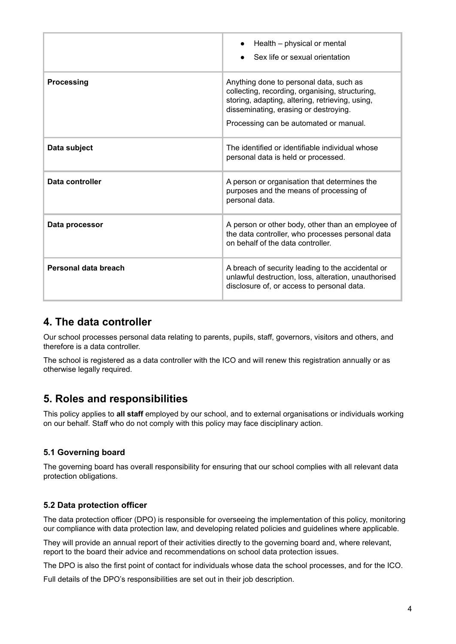|                      | Health - physical or mental<br>Sex life or sexual orientation                                                                                                                                                                    |
|----------------------|----------------------------------------------------------------------------------------------------------------------------------------------------------------------------------------------------------------------------------|
| Processing           | Anything done to personal data, such as<br>collecting, recording, organising, structuring,<br>storing, adapting, altering, retrieving, using,<br>disseminating, erasing or destroying.<br>Processing can be automated or manual. |
| Data subject         | The identified or identifiable individual whose<br>personal data is held or processed.                                                                                                                                           |
| Data controller      | A person or organisation that determines the<br>purposes and the means of processing of<br>personal data.                                                                                                                        |
| Data processor       | A person or other body, other than an employee of<br>the data controller, who processes personal data<br>on behalf of the data controller.                                                                                       |
| Personal data breach | A breach of security leading to the accidental or<br>unlawful destruction, loss, alteration, unauthorised<br>disclosure of, or access to personal data.                                                                          |

### **4. The data controller**

Our school processes personal data relating to parents, pupils, staff, governors, visitors and others, and therefore is a data controller.

<span id="page-3-0"></span>The school is registered as a data controller with the ICO and will renew this registration annually or as otherwise legally required.

# **5. Roles and responsibilities**

This policy applies to **all staff** employed by our school, and to external organisations or individuals working on our behalf. Staff who do not comply with this policy may face disciplinary action.

#### **5.1 Governing board**

The governing board has overall responsibility for ensuring that our school complies with all relevant data protection obligations.

#### **5.2 Data protection officer**

The data protection officer (DPO) is responsible for overseeing the implementation of this policy, monitoring our compliance with data protection law, and developing related policies and guidelines where applicable.

They will provide an annual report of their activities directly to the governing board and, where relevant, report to the board their advice and recommendations on school data protection issues.

The DPO is also the first point of contact for individuals whose data the school processes, and for the ICO.

Full details of the DPO's responsibilities are set out in their job description.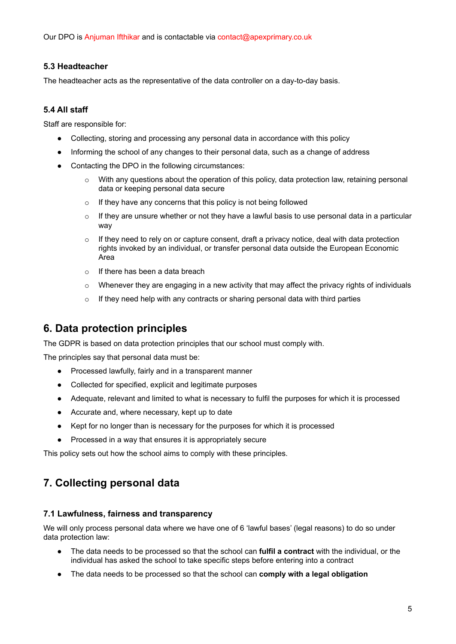Our DPO is Anjuman Ifthikar and is contactable via contact@apexprimary.co.uk

#### **5.3 Headteacher**

The headteacher acts as the representative of the data controller on a day-to-day basis.

#### **5.4 All staff**

Staff are responsible for:

- Collecting, storing and processing any personal data in accordance with this policy
- Informing the school of any changes to their personal data, such as a change of address
- Contacting the DPO in the following circumstances:
	- o With any questions about the operation of this policy, data protection law, retaining personal data or keeping personal data secure
	- o If they have any concerns that this policy is not being followed
	- $\circ$  If they are unsure whether or not they have a lawful basis to use personal data in a particular way
	- $\circ$  If they need to rely on or capture consent, draft a privacy notice, deal with data protection rights invoked by an individual, or transfer personal data outside the European Economic Area
	- o If there has been a data breach
	- $\circ$  Whenever they are engaging in a new activity that may affect the privacy rights of individuals
	- $\circ$  If they need help with any contracts or sharing personal data with third parties

### <span id="page-4-0"></span>**6. Data protection principles**

The GDPR is based on data protection principles that our school must comply with.

The principles say that personal data must be:

- Processed lawfully, fairly and in a transparent manner
- Collected for specified, explicit and legitimate purposes
- Adequate, relevant and limited to what is necessary to fulfil the purposes for which it is processed
- Accurate and, where necessary, kept up to date
- Kept for no longer than is necessary for the purposes for which it is processed
- Processed in a way that ensures it is appropriately secure

<span id="page-4-1"></span>This policy sets out how the school aims to comply with these principles.

# **7. Collecting personal data**

#### **7.1 Lawfulness, fairness and transparency**

We will only process personal data where we have one of 6 'lawful bases' (legal reasons) to do so under data protection law:

- The data needs to be processed so that the school can **fulfil a contract** with the individual, or the individual has asked the school to take specific steps before entering into a contract
- The data needs to be processed so that the school can **comply with a legal obligation**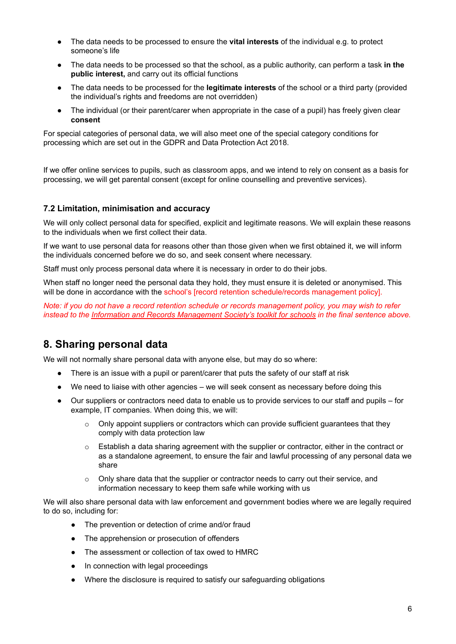- The data needs to be processed to ensure the **vital interests** of the individual e.g. to protect someone's life
- The data needs to be processed so that the school, as a public authority, can perform a task **in the public interest,** and carry out its official functions
- The data needs to be processed for the **legitimate interests** of the school or a third party (provided the individual's rights and freedoms are not overridden)
- The individual (or their parent/carer when appropriate in the case of a pupil) has freely given clear **consent**

For special categories of personal data, we will also meet one of the special category conditions for processing which are set out in the GDPR and Data Protection Act 2018.

If we offer online services to pupils, such as classroom apps, and we intend to rely on consent as a basis for processing, we will get parental consent (except for online counselling and preventive services).

#### **7.2 Limitation, minimisation and accuracy**

We will only collect personal data for specified, explicit and legitimate reasons. We will explain these reasons to the individuals when we first collect their data.

If we want to use personal data for reasons other than those given when we first obtained it, we will inform the individuals concerned before we do so, and seek consent where necessary.

Staff must only process personal data where it is necessary in order to do their jobs.

When staff no longer need the personal data they hold, they must ensure it is deleted or anonymised. This will be done in accordance with the school's [record retention schedule/records management policy].

<span id="page-5-0"></span>Note: if you do not have a record retention schedule or records management policy, you may wish to refer *instead to the Information and Records [Management](http://irms.org.uk/?page=schoolstoolkit&terms=%22toolkit+and+schools%22) Society's toolkit for schools in the final sentence above.*

### **8. Sharing personal data**

We will not normally share personal data with anyone else, but may do so where:

- There is an issue with a pupil or parent/carer that puts the safety of our staff at risk
- We need to liaise with other agencies we will seek consent as necessary before doing this
- Our suppliers or contractors need data to enable us to provide services to our staff and pupils for example, IT companies. When doing this, we will:
	- $\circ$  Only appoint suppliers or contractors which can provide sufficient quarantees that they comply with data protection law
	- $\circ$  Establish a data sharing agreement with the supplier or contractor, either in the contract or as a standalone agreement, to ensure the fair and lawful processing of any personal data we share
	- $\circ$  Only share data that the supplier or contractor needs to carry out their service, and information necessary to keep them safe while working with us

We will also share personal data with law enforcement and government bodies where we are legally required to do so, including for:

- The prevention or detection of crime and/or fraud
- The apprehension or prosecution of offenders
- The assessment or collection of tax owed to HMRC
- In connection with legal proceedings
- Where the disclosure is required to satisfy our safeguarding obligations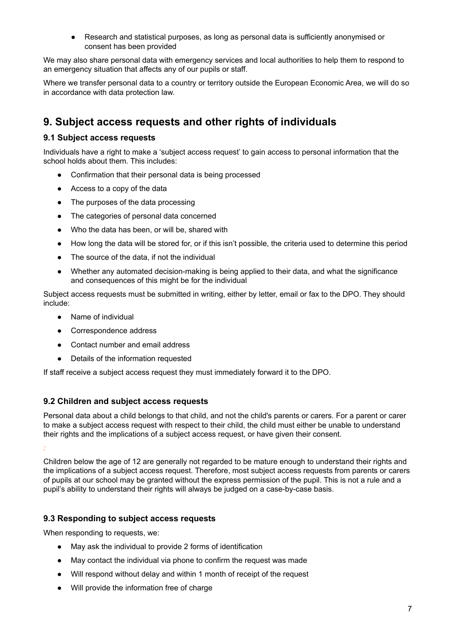● Research and statistical purposes, as long as personal data is sufficiently anonymised or consent has been provided

We may also share personal data with emergency services and local authorities to help them to respond to an emergency situation that affects any of our pupils or staff.

<span id="page-6-0"></span>Where we transfer personal data to a country or territory outside the European Economic Area, we will do so in accordance with data protection law.

### **9. Subject access requests and other rights of individuals**

#### **9.1 Subject access requests**

Individuals have a right to make a 'subject access request' to gain access to personal information that the school holds about them. This includes:

- Confirmation that their personal data is being processed
- Access to a copy of the data
- The purposes of the data processing
- The categories of personal data concerned
- Who the data has been, or will be, shared with
- How long the data will be stored for, or if this isn't possible, the criteria used to determine this period
- The source of the data, if not the individual
- Whether any automated decision-making is being applied to their data, and what the significance and consequences of this might be for the individual

Subject access requests must be submitted in writing, either by letter, email or fax to the DPO. They should include:

- Name of individual
- Correspondence address
- Contact number and email address
- Details of the information requested

If staff receive a subject access request they must immediately forward it to the DPO.

#### **9.2 Children and subject access requests**

Personal data about a child belongs to that child, and not the child's parents or carers. For a parent or carer to make a subject access request with respect to their child, the child must either be unable to understand their rights and the implications of a subject access request, or have given their consent.

*:*

Children below the age of 12 are generally not regarded to be mature enough to understand their rights and the implications of a subject access request. Therefore, most subject access requests from parents or carers of pupils at our school may be granted without the express permission of the pupil. This is not a rule and a pupil's ability to understand their rights will always be judged on a case-by-case basis.

#### **9.3 Responding to subject access requests**

When responding to requests, we:

- May ask the individual to provide 2 forms of identification
- May contact the individual via phone to confirm the request was made
- Will respond without delay and within 1 month of receipt of the request
- Will provide the information free of charge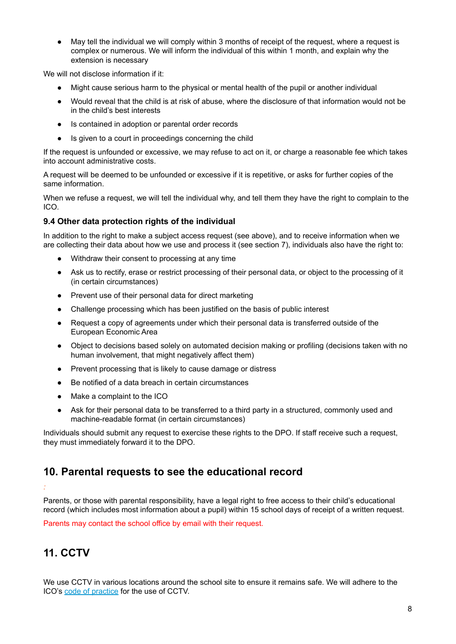● May tell the individual we will comply within 3 months of receipt of the request, where a request is complex or numerous. We will inform the individual of this within 1 month, and explain why the extension is necessary

We will not disclose information if it:

- Might cause serious harm to the physical or mental health of the pupil or another individual
- Would reveal that the child is at risk of abuse, where the disclosure of that information would not be in the child's best interests
- Is contained in adoption or parental order records
- Is given to a court in proceedings concerning the child

If the request is unfounded or excessive, we may refuse to act on it, or charge a reasonable fee which takes into account administrative costs.

A request will be deemed to be unfounded or excessive if it is repetitive, or asks for further copies of the same information.

When we refuse a request, we will tell the individual why, and tell them they have the right to complain to the ICO.

#### **9.4 Other data protection rights of the individual**

In addition to the right to make a subject access request (see above), and to receive information when we are collecting their data about how we use and process it (see section 7), individuals also have the right to:

- Withdraw their consent to processing at any time
- Ask us to rectify, erase or restrict processing of their personal data, or object to the processing of it (in certain circumstances)
- Prevent use of their personal data for direct marketing
- Challenge processing which has been justified on the basis of public interest
- Request a copy of agreements under which their personal data is transferred outside of the European Economic Area
- Object to decisions based solely on automated decision making or profiling (decisions taken with no human involvement, that might negatively affect them)
- Prevent processing that is likely to cause damage or distress
- Be notified of a data breach in certain circumstances
- Make a complaint to the ICO
- Ask for their personal data to be transferred to a third party in a structured, commonly used and machine-readable format (in certain circumstances)

<span id="page-7-0"></span>Individuals should submit any request to exercise these rights to the DPO. If staff receive such a request, they must immediately forward it to the DPO.

# **10. Parental requests to see the educational record**

Parents, or those with parental responsibility, have a legal right to free access to their child's educational record (which includes most information about a pupil) within 15 school days of receipt of a written request.

<span id="page-7-1"></span>Parents may contact the school office by email with their request.

# **11. CCTV**

*:*

We use CCTV in various locations around the school site to ensure it remains safe. We will adhere to the ICO's code of [practice](https://ico.org.uk/media/for-organisations/documents/1542/cctv-code-of-practice.pdf) for the use of CCTV.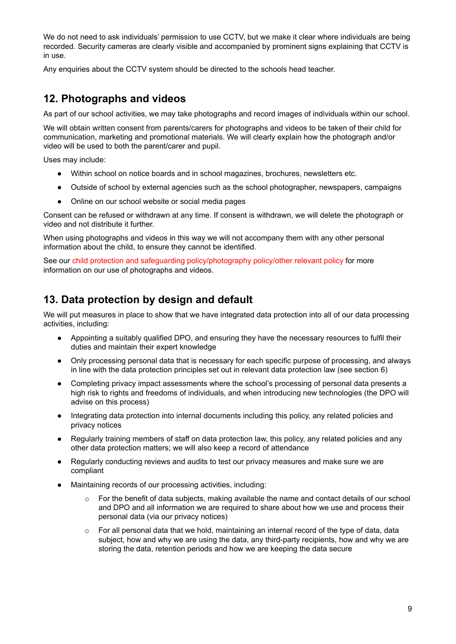We do not need to ask individuals' permission to use CCTV, but we make it clear where individuals are being recorded. Security cameras are clearly visible and accompanied by prominent signs explaining that CCTV is in use.

<span id="page-8-0"></span>Any enquiries about the CCTV system should be directed to the schools head teacher.

### **12. Photographs and videos**

As part of our school activities, we may take photographs and record images of individuals within our school.

We will obtain written consent from parents/carers for photographs and videos to be taken of their child for communication, marketing and promotional materials. We will clearly explain how the photograph and/or video will be used to both the parent/carer and pupil.

Uses may include:

- Within school on notice boards and in school magazines, brochures, newsletters etc.
- Outside of school by external agencies such as the school photographer, newspapers, campaigns
- Online on our school website or social media pages

Consent can be refused or withdrawn at any time. If consent is withdrawn, we will delete the photograph or video and not distribute it further.

When using photographs and videos in this way we will not accompany them with any other personal information about the child, to ensure they cannot be identified.

<span id="page-8-1"></span>See our child protection and safeguarding policy/photography policy/other relevant policy for more information on our use of photographs and videos.

### **13. Data protection by design and default**

We will put measures in place to show that we have integrated data protection into all of our data processing activities, including:

- Appointing a suitably qualified DPO, and ensuring they have the necessary resources to fulfil their duties and maintain their expert knowledge
- Only processing personal data that is necessary for each specific purpose of processing, and always in line with the data protection principles set out in relevant data protection law (see section 6)
- Completing privacy impact assessments where the school's processing of personal data presents a high risk to rights and freedoms of individuals, and when introducing new technologies (the DPO will advise on this process)
- Integrating data protection into internal documents including this policy, any related policies and privacy notices
- Regularly training members of staff on data protection law, this policy, any related policies and any other data protection matters; we will also keep a record of attendance
- Regularly conducting reviews and audits to test our privacy measures and make sure we are compliant
- Maintaining records of our processing activities, including:
	- o For the benefit of data subjects, making available the name and contact details of our school and DPO and all information we are required to share about how we use and process their personal data (via our privacy notices)
	- o For all personal data that we hold, maintaining an internal record of the type of data, data subject, how and why we are using the data, any third-party recipients, how and why we are storing the data, retention periods and how we are keeping the data secure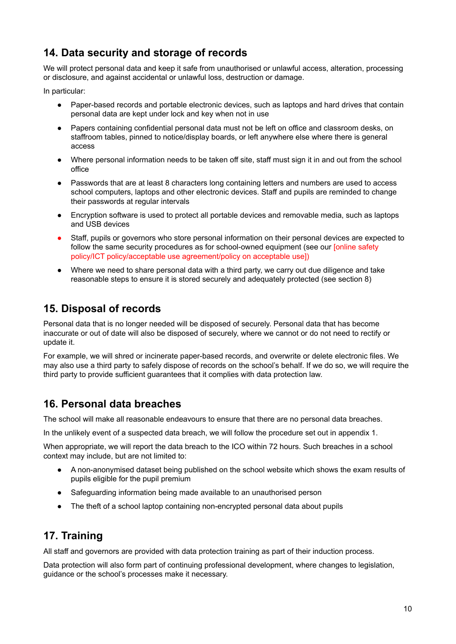# **14. Data security and storage of records**

We will protect personal data and keep it safe from unauthorised or unlawful access, alteration, processing or disclosure, and against accidental or unlawful loss, destruction or damage.

In particular:

- Paper-based records and portable electronic devices, such as laptops and hard drives that contain personal data are kept under lock and key when not in use
- Papers containing confidential personal data must not be left on office and classroom desks, on staffroom tables, pinned to notice/display boards, or left anywhere else where there is general access
- Where personal information needs to be taken off site, staff must sign it in and out from the school office
- Passwords that are at least 8 characters long containing letters and numbers are used to access school computers, laptops and other electronic devices. Staff and pupils are reminded to change their passwords at regular intervals
- Encryption software is used to protect all portable devices and removable media, such as laptops and USB devices
- Staff, pupils or governors who store personal information on their personal devices are expected to follow the same security procedures as for school-owned equipment (see our [online safety policy/ICT policy/acceptable use agreement/policy on acceptable use])
- <span id="page-9-0"></span>● Where we need to share personal data with a third party, we carry out due diligence and take reasonable steps to ensure it is stored securely and adequately protected (see section 8)

# **15. Disposal of records**

Personal data that is no longer needed will be disposed of securely. Personal data that has become inaccurate or out of date will also be disposed of securely, where we cannot or do not need to rectify or update it.

<span id="page-9-1"></span>For example, we will shred or incinerate paper-based records, and overwrite or delete electronic files. We may also use a third party to safely dispose of records on the school's behalf. If we do so, we will require the third party to provide sufficient guarantees that it complies with data protection law.

### **16. Personal data breaches**

The school will make all reasonable endeavours to ensure that there are no personal data breaches.

In the unlikely event of a suspected data breach, we will follow the procedure set out in appendix 1.

When appropriate, we will report the data breach to the ICO within 72 hours. Such breaches in a school context may include, but are not limited to:

- A non-anonymised dataset being published on the school website which shows the exam results of pupils eligible for the pupil premium
- Safeguarding information being made available to an unauthorised person
- The theft of a school laptop containing non-encrypted personal data about pupils

# **17. Training**

All staff and governors are provided with data protection training as part of their induction process.

Data protection will also form part of continuing professional development, where changes to legislation, guidance or the school's processes make it necessary.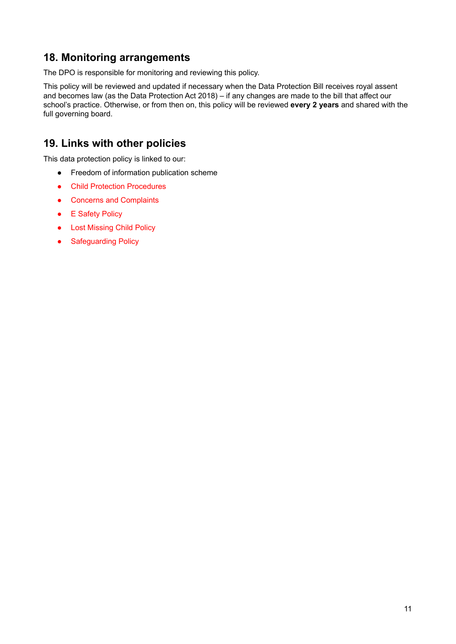### **18. Monitoring arrangements**

The DPO is responsible for monitoring and reviewing this policy.

This policy will be reviewed and updated if necessary when the Data Protection Bill receives royal assent and becomes law (as the Data Protection Act 2018) – if any changes are made to the bill that affect our school's practice. Otherwise, or from then on, this policy will be reviewed **every 2 years** and shared with the full governing board.

### **19. Links with other policies**

This data protection policy is linked to our:

- Freedom of information publication scheme
- Child Protection Procedures
- Concerns and Complaints
- E Safety Policy
- Lost Missing Child Policy
- Safeguarding Policy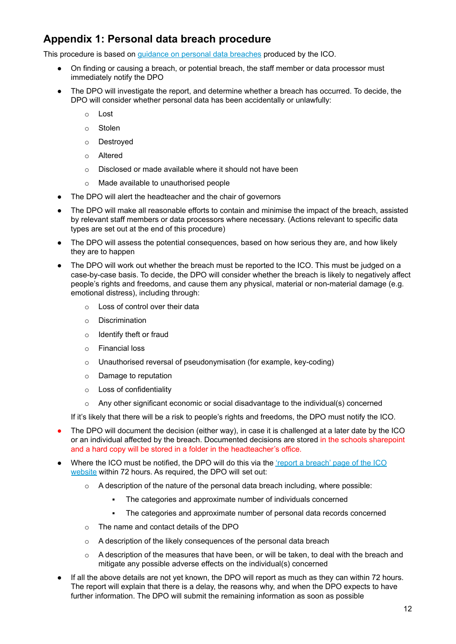# <span id="page-11-0"></span>**Appendix 1: Personal data breach procedure**

This procedure is based on guidance on personal data [breaches](https://ico.org.uk/for-organisations/guide-to-the-general-data-protection-regulation-gdpr/personal-data-breaches/) produced by the ICO.

- On finding or causing a breach, or potential breach, the staff member or data processor must immediately notify the DPO
- The DPO will investigate the report, and determine whether a breach has occurred. To decide, the DPO will consider whether personal data has been accidentally or unlawfully:
	- o Lost
	- o Stolen
	- o Destroyed
	- o Altered
	- o Disclosed or made available where it should not have been
	- o Made available to unauthorised people
- The DPO will alert the headteacher and the chair of governors
- The DPO will make all reasonable efforts to contain and minimise the impact of the breach, assisted by relevant staff members or data processors where necessary. (Actions relevant to specific data types are set out at the end of this procedure)
- The DPO will assess the potential consequences, based on how serious they are, and how likely they are to happen
- The DPO will work out whether the breach must be reported to the ICO. This must be judged on a case-by-case basis. To decide, the DPO will consider whether the breach is likely to negatively affect people's rights and freedoms, and cause them any physical, material or non-material damage (e.g. emotional distress), including through:
	- o Loss of control over their data
	- o Discrimination
	- o Identify theft or fraud
	- o Financial loss
	- o Unauthorised reversal of pseudonymisation (for example, key-coding)
	- o Damage to reputation
	- o Loss of confidentiality
	- $\circ$  Any other significant economic or social disadvantage to the individual(s) concerned

If it's likely that there will be a risk to people's rights and freedoms, the DPO must notify the ICO.

- The DPO will document the decision (either way), in case it is challenged at a later date by the ICO or an individual affected by the breach. Documented decisions are stored in the schools sharepoint and a hard copy will be stored in a folder in the headteacher's office.
- Where the ICO must be notified, the DPO will do this via the 'report a [breach'](https://ico.org.uk/for-organisations/report-a-breach/) page of the ICO [website](https://ico.org.uk/for-organisations/report-a-breach/) within 72 hours. As required, the DPO will set out:
	- $\circ$  A description of the nature of the personal data breach including, where possible:
		- The categories and approximate number of individuals concerned
		- The categories and approximate number of personal data records concerned
	- o The name and contact details of the DPO
	- $\circ$  A description of the likely consequences of the personal data breach
	- $\circ$  A description of the measures that have been, or will be taken, to deal with the breach and mitigate any possible adverse effects on the individual(s) concerned
- If all the above details are not yet known, the DPO will report as much as they can within 72 hours. The report will explain that there is a delay, the reasons why, and when the DPO expects to have further information. The DPO will submit the remaining information as soon as possible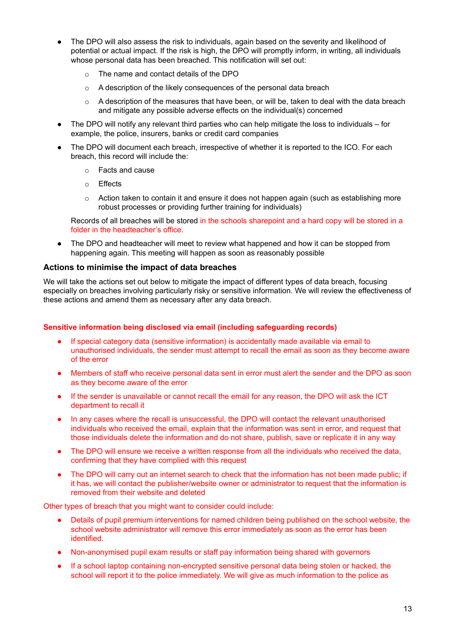- The DPO will also assess the risk to individuals, again based on the severity and likelihood of potential or actual impact. If the risk is high, the DPO will promptly inform, in writing, all individuals whose personal data has been breached. This notification will set out:
	- o The name and contact details of the DPO
	- o A description of the likely consequences of the personal data breach
	- $\circ$  A description of the measures that have been, or will be, taken to deal with the data breach and mitigate any possible adverse effects on the individual(s) concerned
- The DPO will notify any relevant third parties who can help mitigate the loss to individuals for example, the police, insurers, banks or credit card companies
- The DPO will document each breach, irrespective of whether it is reported to the ICO. For each breach, this record will include the:
	- o Facts and cause
	- o Effects
	- $\circ$  Action taken to contain it and ensure it does not happen again (such as establishing more robust processes or providing further training for individuals)

Records of all breaches will be stored in the schools sharepoint and a hard copy will be stored in a folder in the headteacher's office.

• The DPO and headteacher will meet to review what happened and how it can be stopped from happening again. This meeting will happen as soon as reasonably possible

#### **Actions to minimise the impact of data breaches**

We will take the actions set out below to mitigate the impact of different types of data breach, focusing especially on breaches involving particularly risky or sensitive information. We will review the effectiveness of these actions and amend them as necessary after any data breach.

#### **Sensitive information being disclosed via email (including safeguarding records)**

- If special category data (sensitive information) is accidentally made available via email to unauthorised individuals, the sender must attempt to recall the email as soon as they become aware of the error
- Members of staff who receive personal data sent in error must alert the sender and the DPO as soon as they become aware of the error
- If the sender is unavailable or cannot recall the email for any reason, the DPO will ask the ICT department to recall it
- In any cases where the recall is unsuccessful, the DPO will contact the relevant unauthorised individuals who received the email, explain that the information was sent in error, and request that those individuals delete the information and do not share, publish, save or replicate it in any way
- The DPO will ensure we receive a written response from all the individuals who received the data, confirming that they have complied with this request
- The DPO will carry out an internet search to check that the information has not been made public; if it has, we will contact the publisher/website owner or administrator to request that the information is removed from their website and deleted

Other types of breach that you might want to consider could include:

- Details of pupil premium interventions for named children being published on the school website, the school website administrator will remove this error immediately as soon as the error has been identified.
- Non-anonymised pupil exam results or staff pay information being shared with governors
- If a school laptop containing non-encrypted sensitive personal data being stolen or hacked, the school will report it to the police immediately. We will give as much information to the police as